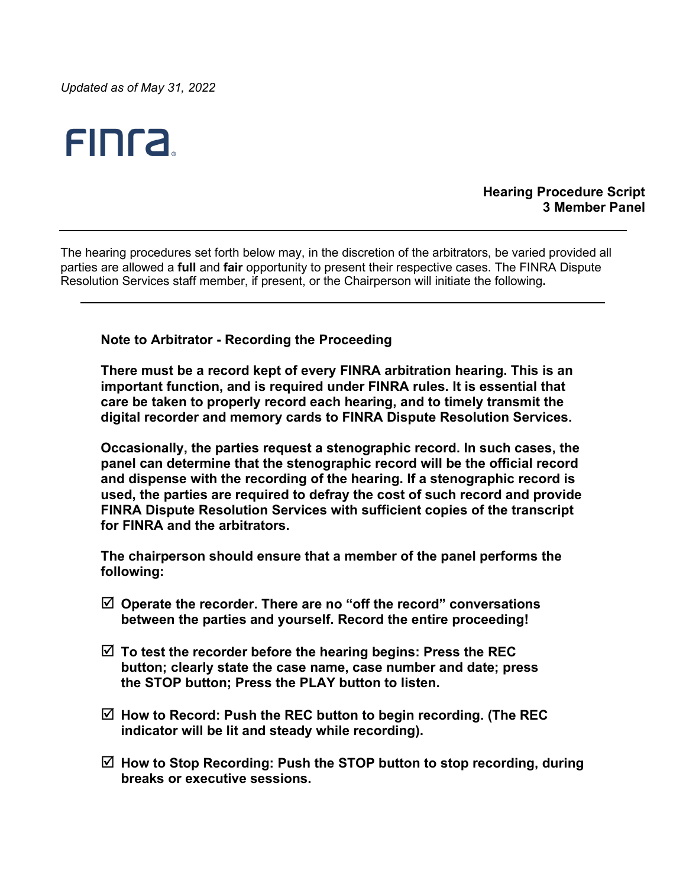*Updated as of May 31, 2022*

# **FINTA**

#### **Hearing Procedure Script 3 Member Panel**

The hearing procedures set forth below may, in the discretion of the arbitrators, be varied provided all parties are allowed a **full** and **fair** opportunity to present their respective cases. The FINRA Dispute Resolution Services staff member, if present, or the Chairperson will initiate the following**.**

**Note to Arbitrator - Recording the Proceeding**

**There must be a record kept of every FINRA arbitration hearing. This is an important function, and is required under FINRA rules. It is essential that care be taken to properly record each hearing, and to timely transmit the digital recorder and memory cards to FINRA Dispute Resolution Services.** 

**Occasionally, the parties request a stenographic record. In such cases, the panel can determine that the stenographic record will be the official record and dispense with the recording of the hearing. If a stenographic record is used, the parties are required to defray the cost of such record and provide FINRA Dispute Resolution Services with sufficient copies of the transcript for FINRA and the arbitrators.**

**The chairperson should ensure that a member of the panel performs the following:**

- **Operate the recorder. There are no "off the record" conversations between the parties and yourself. Record the entire proceeding!**
- **To test the recorder before the hearing begins: Press the REC button; clearly state the case name, case number and date; press the STOP button; Press the PLAY button to listen.**
- **How to Record: Push the REC button to begin recording. (The REC indicator will be lit and steady while recording).**
- **How to Stop Recording: Push the STOP button to stop recording, during breaks or executive sessions.**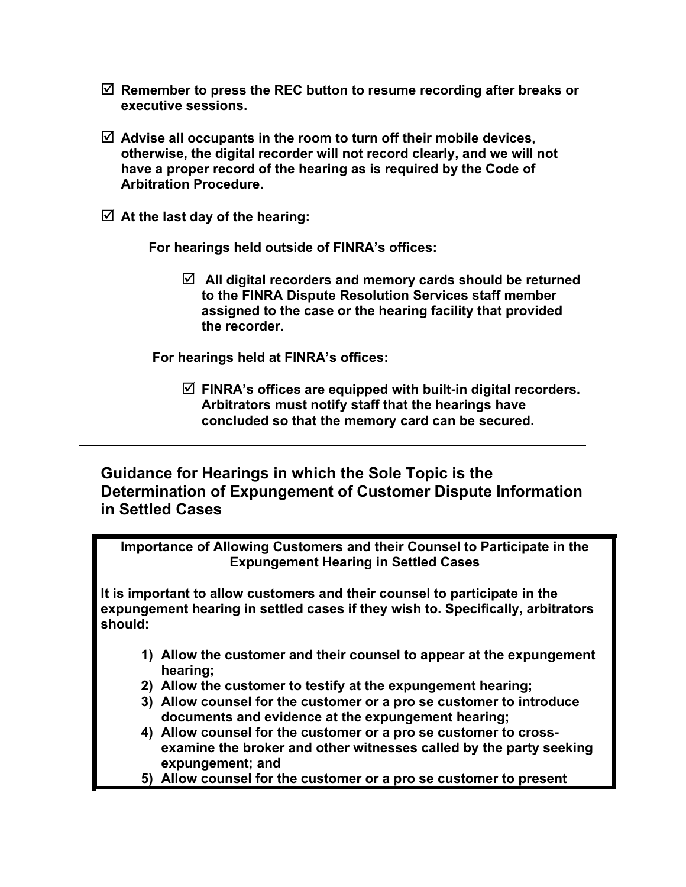- **Remember to press the REC button to resume recording after breaks or executive sessions.**
- **Advise all occupants in the room to turn off their mobile devices, otherwise, the digital recorder will not record clearly, and we will not have a proper record of the hearing as is required by the Code of Arbitration Procedure.**
- **At the last day of the hearing:**

 **For hearings held outside of FINRA's offices:** 

 **All digital recorders and memory cards should be returned to the FINRA Dispute Resolution Services staff member assigned to the case or the hearing facility that provided the recorder.**

 **For hearings held at FINRA's offices:**

 **FINRA's offices are equipped with built-in digital recorders. Arbitrators must notify staff that the hearings have concluded so that the memory card can be secured.**

## **Guidance for Hearings in which the Sole Topic is the Determination of Expungement of Customer Dispute Information in Settled Cases**

**Importance of Allowing Customers and their Counsel to Participate in the Expungement Hearing in Settled Cases**

**It is important to allow customers and their counsel to participate in the expungement hearing in settled cases if they wish to. Specifically, arbitrators should:**

- **1) Allow the customer and their counsel to appear at the expungement hearing;**
- **2) Allow the customer to testify at the expungement hearing;**
- **3) Allow counsel for the customer or a pro se customer to introduce documents and evidence at the expungement hearing;**
- **4) Allow counsel for the customer or a pro se customer to crossexamine the broker and other witnesses called by the party seeking expungement; and**
- **5) Allow counsel for the customer or a pro se customer to present**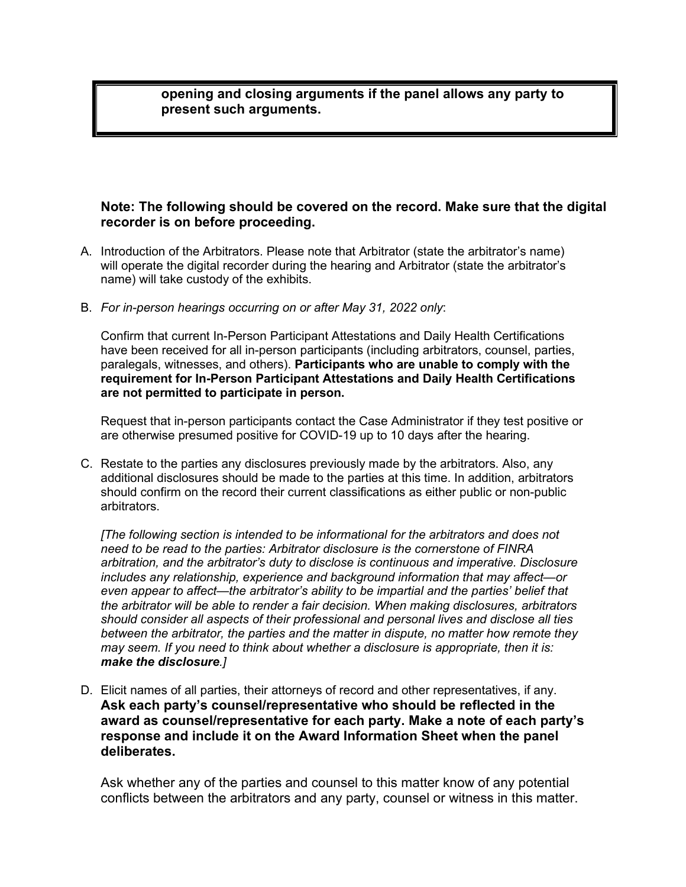**opening and closing arguments if the panel allows any party to present such arguments.**

### **Note: The following should be covered on the record. Make sure that the digital recorder is on before proceeding.**

- A. Introduction of the Arbitrators. Please note that Arbitrator (state the arbitrator's name) will operate the digital recorder during the hearing and Arbitrator (state the arbitrator's name) will take custody of the exhibits.
- B. *For in-person hearings occurring on or after May 31, 2022 only*:

Confirm that current In-Person Participant Attestations and Daily Health Certifications have been received for all in-person participants (including arbitrators, counsel, parties, paralegals, witnesses, and others). **Participants who are unable to comply with the requirement for In-Person Participant Attestations and Daily Health Certifications are not permitted to participate in person.**

Request that in-person participants contact the Case Administrator if they test positive or are otherwise presumed positive for COVID-19 up to 10 days after the hearing.

C. Restate to the parties any disclosures previously made by the arbitrators. Also, any additional disclosures should be made to the parties at this time. In addition, arbitrators should confirm on the record their current classifications as either public or non-public arbitrators.

*[The following section is intended to be informational for the arbitrators and does not need to be read to the parties: Arbitrator disclosure is the cornerstone of FINRA arbitration, and the arbitrator's duty to disclose is continuous and imperative. Disclosure includes any relationship, experience and background information that may affect—or even appear to affect—the arbitrator's ability to be impartial and the parties' belief that the arbitrator will be able to render a fair decision. When making disclosures, arbitrators should consider all aspects of their professional and personal lives and disclose all ties between the arbitrator, the parties and the matter in dispute, no matter how remote they may seem. If you need to think about whether a disclosure is appropriate, then it is: make the disclosure.]*

D. Elicit names of all parties, their attorneys of record and other representatives, if any. **Ask each party's counsel/representative who should be reflected in the award as counsel/representative for each party. Make a note of each party's response and include it on the Award Information Sheet when the panel deliberates.**

Ask whether any of the parties and counsel to this matter know of any potential conflicts between the arbitrators and any party, counsel or witness in this matter.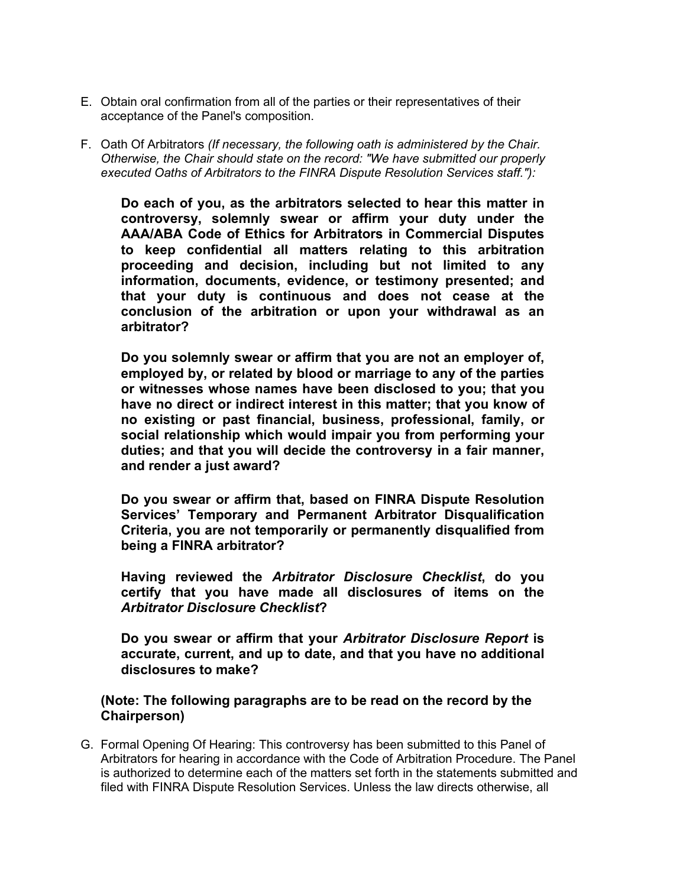- E. Obtain oral confirmation from all of the parties or their representatives of their acceptance of the Panel's composition.
- F. Oath Of Arbitrators *(If necessary, the following oath is administered by the Chair. Otherwise, the Chair should state on the record: "We have submitted our properly executed Oaths of Arbitrators to the FINRA Dispute Resolution Services staff."):*

**Do each of you, as the arbitrators selected to hear this matter in controversy, solemnly swear or affirm your duty under the AAA/ABA Code of Ethics for Arbitrators in Commercial Disputes to keep confidential all matters relating to this arbitration proceeding and decision, including but not limited to any information, documents, evidence, or testimony presented; and that your duty is continuous and does not cease at the conclusion of the arbitration or upon your withdrawal as an arbitrator?**

**Do you solemnly swear or affirm that you are not an employer of, employed by, or related by blood or marriage to any of the parties or witnesses whose names have been disclosed to you; that you have no direct or indirect interest in this matter; that you know of no existing or past financial, business, professional, family, or social relationship which would impair you from performing your duties; and that you will decide the controversy in a fair manner, and render a just award?**

**Do you swear or affirm that, based on FINRA Dispute Resolution Services' Temporary and Permanent Arbitrator Disqualification Criteria, you are not temporarily or permanently disqualified from being a FINRA arbitrator?**

**Having reviewed the** *Arbitrator Disclosure Checklist***, do you certify that you have made all disclosures of items on the**  *Arbitrator Disclosure Checklist***?**

**Do you swear or affirm that your** *Arbitrator Disclosure Report* **is accurate, current, and up to date, and that you have no additional disclosures to make?**

### **(Note: The following paragraphs are to be read on the record by the Chairperson)**

G. Formal Opening Of Hearing: This controversy has been submitted to this Panel of Arbitrators for hearing in accordance with the Code of Arbitration Procedure. The Panel is authorized to determine each of the matters set forth in the statements submitted and filed with FINRA Dispute Resolution Services. Unless the law directs otherwise, all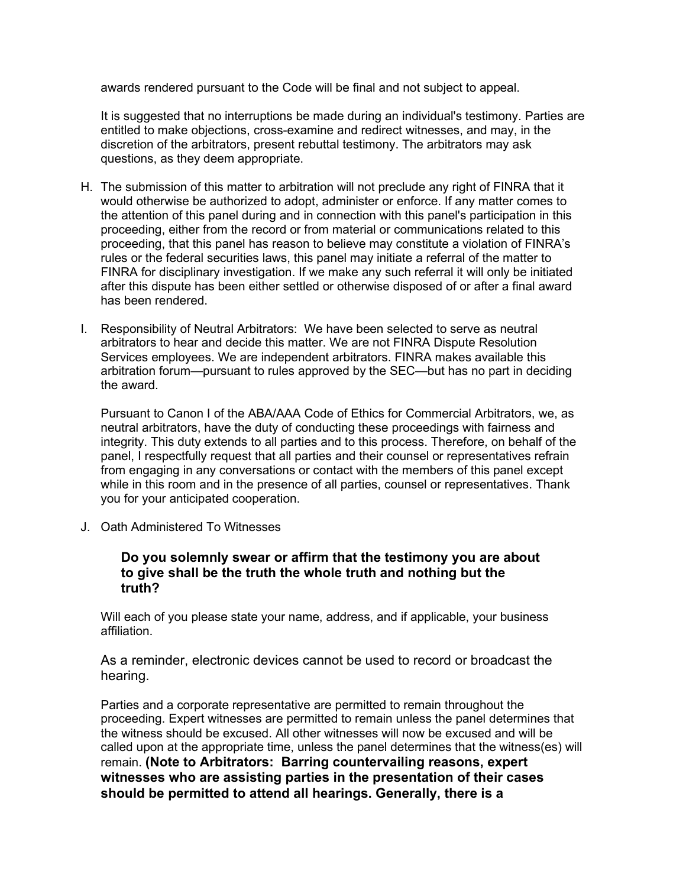awards rendered pursuant to the Code will be final and not subject to appeal.

It is suggested that no interruptions be made during an individual's testimony. Parties are entitled to make objections, cross-examine and redirect witnesses, and may, in the discretion of the arbitrators, present rebuttal testimony. The arbitrators may ask questions, as they deem appropriate.

- H. The submission of this matter to arbitration will not preclude any right of FINRA that it would otherwise be authorized to adopt, administer or enforce. If any matter comes to the attention of this panel during and in connection with this panel's participation in this proceeding, either from the record or from material or communications related to this proceeding, that this panel has reason to believe may constitute a violation of FINRA's rules or the federal securities laws, this panel may initiate a referral of the matter to FINRA for disciplinary investigation. If we make any such referral it will only be initiated after this dispute has been either settled or otherwise disposed of or after a final award has been rendered.
- I. Responsibility of Neutral Arbitrators: We have been selected to serve as neutral arbitrators to hear and decide this matter. We are not FINRA Dispute Resolution Services employees. We are independent arbitrators. FINRA makes available this arbitration forum—pursuant to rules approved by the SEC—but has no part in deciding the award.

Pursuant to Canon I of the ABA/AAA Code of Ethics for Commercial Arbitrators, we, as neutral arbitrators, have the duty of conducting these proceedings with fairness and integrity. This duty extends to all parties and to this process. Therefore, on behalf of the panel, I respectfully request that all parties and their counsel or representatives refrain from engaging in any conversations or contact with the members of this panel except while in this room and in the presence of all parties, counsel or representatives. Thank you for your anticipated cooperation.

J. Oath Administered To Witnesses

#### **Do you solemnly swear or affirm that the testimony you are about to give shall be the truth the whole truth and nothing but the truth?**

Will each of you please state your name, address, and if applicable, your business affiliation.

As a reminder, electronic devices cannot be used to record or broadcast the hearing.

Parties and a corporate representative are permitted to remain throughout the proceeding. Expert witnesses are permitted to remain unless the panel determines that the witness should be excused. All other witnesses will now be excused and will be called upon at the appropriate time, unless the panel determines that the witness(es) will remain. **(Note to Arbitrators: Barring countervailing reasons, expert witnesses who are assisting parties in the presentation of their cases should be permitted to attend all hearings. Generally, there is a**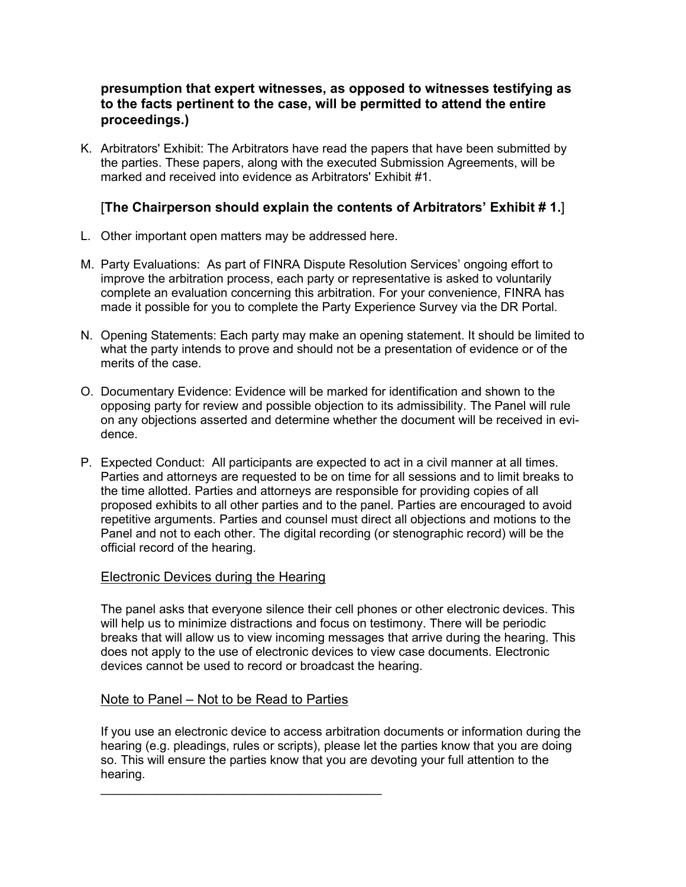## **presumption that expert witnesses, as opposed to witnesses testifying as to the facts pertinent to the case, will be permitted to attend the entire proceedings.)**

K. Arbitrators' Exhibit: The Arbitrators have read the papers that have been submitted by the parties. These papers, along with the executed Submission Agreements, will be marked and received into evidence as Arbitrators' Exhibit #1.

## [**The Chairperson should explain the contents of Arbitrators' Exhibit # 1.**]

- L. Other important open matters may be addressed here.
- M. Party Evaluations: As part of FINRA Dispute Resolution Services' ongoing effort to improve the arbitration process, each party or representative is asked to voluntarily complete an evaluation concerning this arbitration. For your convenience, FINRA has made it possible for you to complete the Party Experience Survey via the DR Portal.
- N. Opening Statements: Each party may make an opening statement. It should be limited to what the party intends to prove and should not be a presentation of evidence or of the merits of the case.
- O. Documentary Evidence: Evidence will be marked for identification and shown to the opposing party for review and possible objection to its admissibility. The Panel will rule on any objections asserted and determine whether the document will be received in evidence.
- P. Expected Conduct: All participants are expected to act in a civil manner at all times. Parties and attorneys are requested to be on time for all sessions and to limit breaks to the time allotted. Parties and attorneys are responsible for providing copies of all proposed exhibits to all other parties and to the panel. Parties are encouraged to avoid repetitive arguments. Parties and counsel must direct all objections and motions to the Panel and not to each other. The digital recording (or stenographic record) will be the official record of the hearing.

## Electronic Devices during the Hearing

The panel asks that everyone silence their cell phones or other electronic devices. This will help us to minimize distractions and focus on testimony. There will be periodic breaks that will allow us to view incoming messages that arrive during the hearing. This does not apply to the use of electronic devices to view case documents. Electronic devices cannot be used to record or broadcast the hearing.

## Note to Panel – Not to be Read to Parties

\_\_\_\_\_\_\_\_\_\_\_\_\_\_\_\_\_\_\_\_\_\_\_\_\_\_\_\_\_\_\_\_\_\_\_\_\_\_\_\_\_

If you use an electronic device to access arbitration documents or information during the hearing (e.g. pleadings, rules or scripts), please let the parties know that you are doing so. This will ensure the parties know that you are devoting your full attention to the hearing.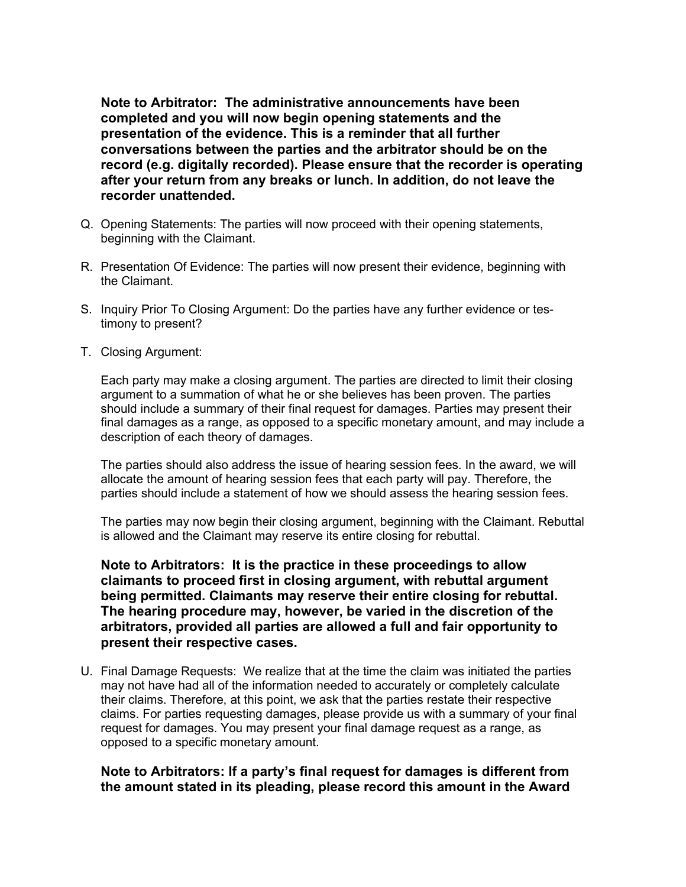**Note to Arbitrator: The administrative announcements have been completed and you will now begin opening statements and the presentation of the evidence. This is a reminder that all further conversations between the parties and the arbitrator should be on the record (e.g. digitally recorded). Please ensure that the recorder is operating after your return from any breaks or lunch. In addition, do not leave the recorder unattended.** 

- Q. Opening Statements: The parties will now proceed with their opening statements, beginning with the Claimant.
- R. Presentation Of Evidence: The parties will now present their evidence, beginning with the Claimant.
- S. Inquiry Prior To Closing Argument: Do the parties have any further evidence or testimony to present?
- T. Closing Argument:

Each party may make a closing argument. The parties are directed to limit their closing argument to a summation of what he or she believes has been proven. The parties should include a summary of their final request for damages. Parties may present their final damages as a range, as opposed to a specific monetary amount, and may include a description of each theory of damages.

The parties should also address the issue of hearing session fees. In the award, we will allocate the amount of hearing session fees that each party will pay. Therefore, the parties should include a statement of how we should assess the hearing session fees.

The parties may now begin their closing argument, beginning with the Claimant. Rebuttal is allowed and the Claimant may reserve its entire closing for rebuttal.

**Note to Arbitrators: It is the practice in these proceedings to allow claimants to proceed first in closing argument, with rebuttal argument being permitted. Claimants may reserve their entire closing for rebuttal. The hearing procedure may, however, be varied in the discretion of the arbitrators, provided all parties are allowed a full and fair opportunity to present their respective cases.**

U. Final Damage Requests: We realize that at the time the claim was initiated the parties may not have had all of the information needed to accurately or completely calculate their claims. Therefore, at this point, we ask that the parties restate their respective claims. For parties requesting damages, please provide us with a summary of your final request for damages. You may present your final damage request as a range, as opposed to a specific monetary amount.

#### **Note to Arbitrators: If a party's final request for damages is different from the amount stated in its pleading, please record this amount in the Award**